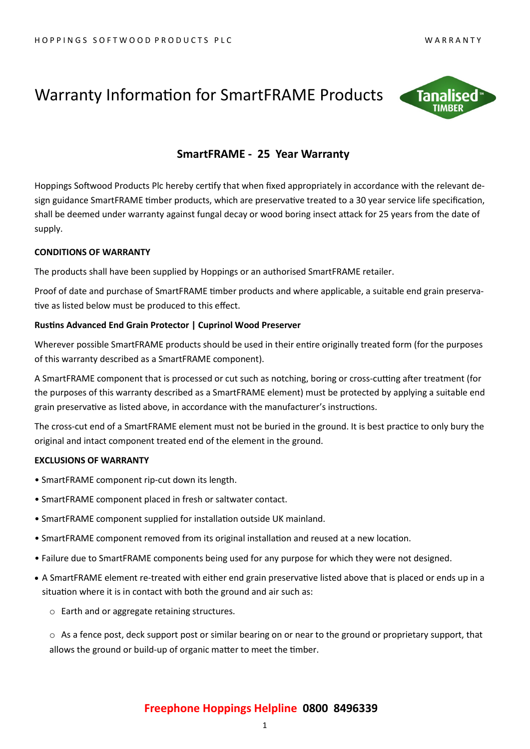## Warranty Information for SmartFRAME Products



## **SmartFRAME - 25 Year Warranty**

Hoppings Softwood Products Plc hereby certify that when fixed appropriately in accordance with the relevant design guidance SmartFRAME timber products, which are preservative treated to a 30 year service life specification, shall be deemed under warranty against fungal decay or wood boring insect attack for 25 years from the date of supply.

### **CONDITIONS OF WARRANTY**

The products shall have been supplied by Hoppings or an authorised SmartFRAME retailer.

Proof of date and purchase of SmartFRAME timber products and where applicable, a suitable end grain preservative as listed below must be produced to this effect.

### **Rustins Advanced End Grain Protector | Cuprinol Wood Preserver**

Wherever possible SmartFRAME products should be used in their entire originally treated form (for the purposes of this warranty described as a SmartFRAME component).

A SmartFRAME component that is processed or cut such as notching, boring or cross-cutting after treatment (for the purposes of this warranty described as a SmartFRAME element) must be protected by applying a suitable end grain preservative as listed above, in accordance with the manufacturer's instructions.

The cross-cut end of a SmartFRAME element must not be buried in the ground. It is best practice to only bury the original and intact component treated end of the element in the ground.

### **EXCLUSIONS OF WARRANTY**

- SmartFRAME component rip-cut down its length.
- SmartFRAME component placed in fresh or saltwater contact.
- SmartFRAME component supplied for installation outside UK mainland.
- SmartFRAME component removed from its original installation and reused at a new location.
- Failure due to SmartFRAME components being used for any purpose for which they were not designed.
- A SmartFRAME element re-treated with either end grain preservative listed above that is placed or ends up in a situation where it is in contact with both the ground and air such as:
	- o Earth and or aggregate retaining structures.

o As a fence post, deck support post or similar bearing on or near to the ground or proprietary support, that allows the ground or build-up of organic matter to meet the timber.

## **Freephone Hoppings Helpline 0800 8496339**